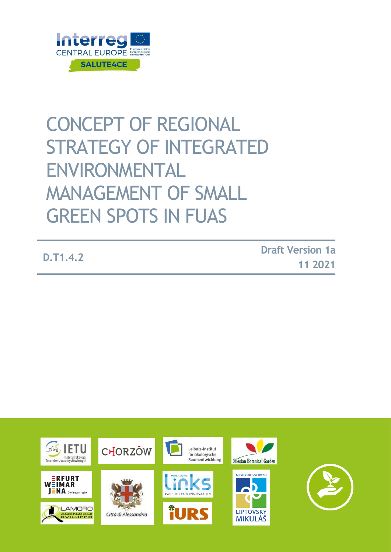

# CONCEPT OF REGIONAL STRATEGY OF INTEGRATED ENVIRONMENTAL MANAGEMENT OF SMALL **GREEN SPOTS IN FUAS**

 **D.T1.4.2 Draft Version 1a 11 2021**

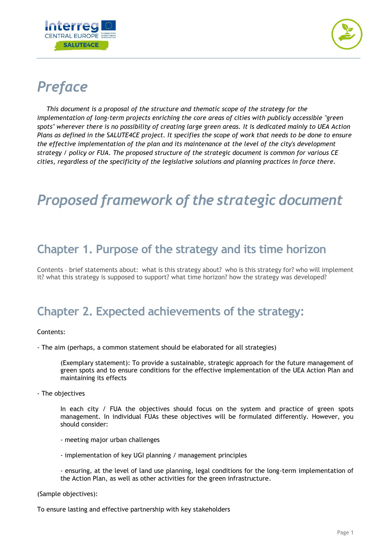



# *Preface*

*This document is a proposal of the structure and thematic scope of the strategy for the implementation of long-term projects enriching the core areas of cities with publicly accessible "green spots" wherever there is no possibility of creating large green areas. It is dedicated mainly to UEA Action Plans as defined in the SALUTE4CE project. It specifies the scope of work that needs to be done to ensure the effective implementation of the plan and its maintenance at the level of the city's development strategy / policy or FUA. The proposed structure of the strategic document is common for various CE cities, regardless of the specificity of the legislative solutions and planning practices in force there.*

# *Proposed framework of the strategic document*

#### **Chapter 1. Purpose of the strategy and its time horizon**

Contents – brief statements about: what is this strategy about? who is this strategy for? who will implement it? what this strategy is supposed to support? what time horizon? how the strategy was developed?

#### **Chapter 2. Expected achievements of the strategy:**

#### Contents:

- The aim (perhaps, a common statement should be elaborated for all strategies)

(Exemplary statement): To provide a sustainable, strategic approach for the future management of green spots and to ensure conditions for the effective implementation of the UEA Action Plan and maintaining its effects

- The objectives

In each city / FUA the objectives should focus on the system and practice of green spots management. In individual FUAs these objectives will be formulated differently. However, you should consider:

- meeting major urban challenges
- implementation of key UGI planning / management principles

- ensuring, at the level of land use planning, legal conditions for the long-term implementation of the Action Plan, as well as other activities for the green infrastructure.

(Sample objectives):

To ensure lasting and effective partnership with key stakeholders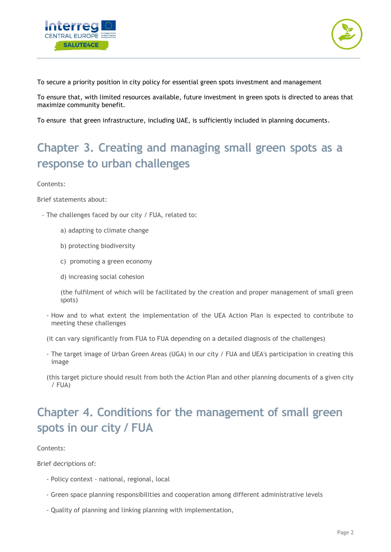



To secure a priority position in city policy for essential green spots investment and management

To ensure that, with limited resources available, future investment in green spots is directed to areas that maximize community benefit.

To ensure that green infrastructure, including UAE, is sufficiently included in planning documents.

#### **Chapter 3. Creating and managing small green spots as a response to urban challenges**

Contents:

Brief statements about:

- The challenges faced by our city / FUA, related to:
	- a) adapting to climate change
	- b) protecting biodiversity
	- c) promoting a green economy
	- d) increasing social cohesion

(the fulfilment of which will be facilitated by the creation and proper management of small green spots)

- How and to what extent the implementation of the UEA Action Plan is expected to contribute to meeting these challenges
- (it can vary significantly from FUA to FUA depending on a detailed diagnosis of the challenges)
- The target image of Urban Green Areas (UGA) in our city / FUA and UEA's participation in creating this image
- (this target picture should result from both the Action Plan and other planning documents of a given city / FUA)

### **Chapter 4. Conditions for the management of small green spots in our city / FUA**

#### Contents:

Brief decriptions of:

- Policy context national, regional, local
- Green space planning responsibilities and cooperation among different administrative levels
- Quality of planning and linking planning with implementation,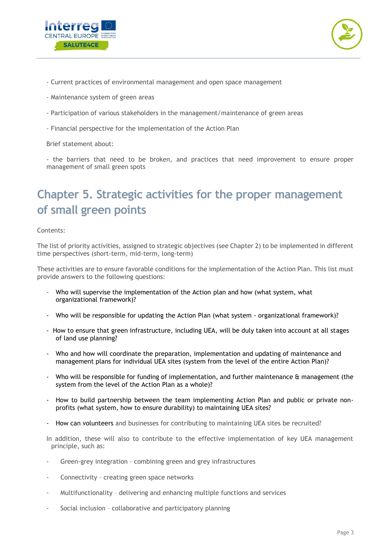



- Current practices of environmental management and open space management
- Maintenance system of green areas
- Participation of various stakeholders in the management/maintenance of green areas
- Financial perspective for the implementation of the Action Plan

Brief statement about:

- the barriers that need to be broken, and practices that need improvement to ensure proper management of small green spots

### **Chapter 5. Strategic activities for the proper management of small green points**

Contents:

The list of priority activities, assigned to strategic objectives (see Chapter 2) to be implemented in different time perspectives (short-term, mid-term, long-term)

These activities are to ensure favorable conditions for the implementation of the Action Plan. This list must provide answers to the following questions:

- Who will supervise the implementation of the Action plan and how (what system, what organizational framework)?
- Who will be responsible for updating the Action Plan (what system organizational framework)?
- How to ensure that green infrastructure, including UEA, will be duly taken into account at all stages of land use planning?
- Who and how will coordinate the preparation, implementation and updating of maintenance and management plans for individual UEA sites (system from the level of the entire Action Plan)?
- Who will be responsible for funding of implementation, and further maintenance  $\alpha$  management (the system from the level of the Action Plan as a whole)?
- How to build partnership between the team implementing Action Plan and public or private nonprofits (what system, how to ensure durability) to maintaining UEA sites?
- How can volunteers and businesses for contributing to maintaining UEA sites be recruited?

In addition, these will also to contribute to the effective implementation of key UEA management principle, such as:

- Green-grey integration combining green and grey infrastructures
- Connectivity creating green space networks
- Multifunctionality delivering and enhancing multiple functions and services
- Social inclusion collaborative and participatory planning